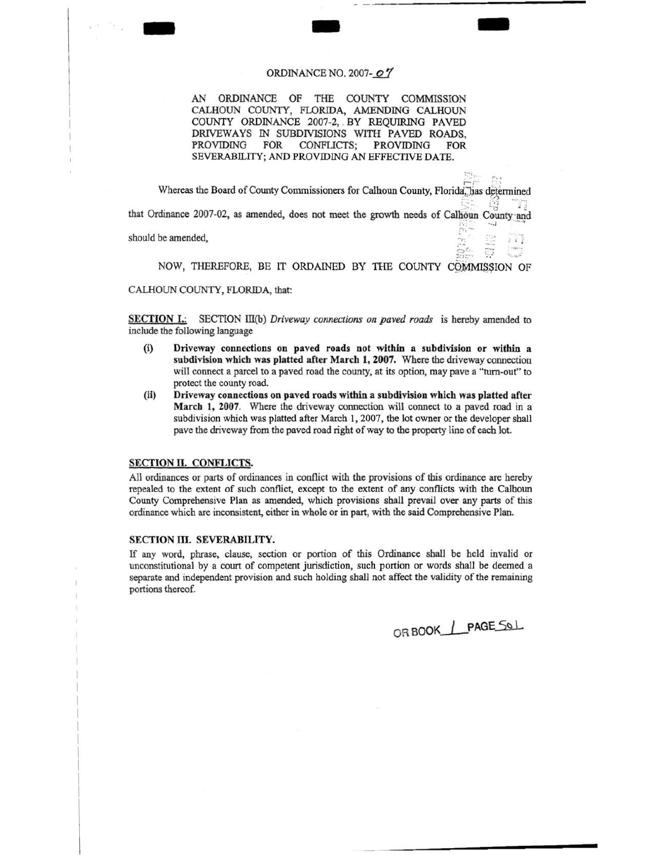## ORDINANCE NO. 2007- $o7$

AN ORDINANCE OF THE COUNTY COMMISSION CALHOUN COUNTY, FLORIDA, AMENDING CALHOUN COUNTY ORDINANCE 2007-2, . BY REQUIRING PAVED DRIVEWAYS IN SUBDIVISIONS WITH PAVED ROADS, PROVIDING FOR CONFLICTS; PROVIDING FOR SEVERABILITY; AND PROVIDING AN EFFECTNE DATE.

 $\frac{\Sigma_{\square}}{\Gamma_{\square}}$  is : Whereas the Board of County Commissioners for Calhoun County, Florida, has determined **the Board of County Commissioners** for Calhoun County, Florida, has determined that Ordinance 2007-02, as amended, does not meet the growth needs of Calhoun County and should be amended,  $\frac{1}{2}$ ,  $\frac{1}{2}$ 

NOW, THEREFORE, BE IT ORDAINED BY THE COUNTY COMMISSION OF

CALHOUN COUNTY, FLORIDA, that:

- -

SECTION I.: SECTION III(b) *Driveway connections on paved roads* is hereby amended to include the following language

- (i) Driveway connections on paved roads not within a subdivision or within a subdivision which was platted after March 1, 2007. Where the driveway connection will connect a parcel to a paved road the county, at its option, may pave a "turn-out" to protect the county road.
- (ii) Driveway connections on paved roads within a subdivision which was platted after March 1, 2007. Where the driveway connection will connect to a paved road in a subdivision which was platted after March 1, 2007. the lot owner or the developer shall pave the driveway from the paved road right of way to the property line of each lot.

## SECTION II. CONFLICTS.

All ordinances or parts of ordinances in conflict with the provisions of this ordinance are hereby repealed to the extent of such conflict, except to the extent of any conflicts with the Calhoun County Comprehensive Plan as amended, which provisions shall prevail over any parts of this ordinance which are inconsistent, either in whole or in part, with the said Comprehensive Plan.

## SECTION III. SEVERABILITY.

If any word, phrase, clause, section or portion of this Ordinance shall be held invalid or unconstitutional by a court of competent jurisdiction, such portion or words shall be deemed a separate and independent provision and such holding shall not affect the validity of the remaining portions thereof.

ORBOOK\_1\_PAGE\_SOL

-

 $\mathbb{G}^{\alpha}$ ,  $\mathbb{G}$  ,  $\mathbb{H}$ 

 $\frac{1}{2}$